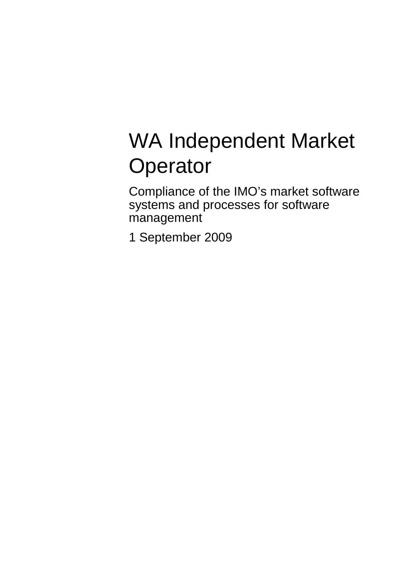# WA Independent Market **Operator**

Compliance of the IMO's market software systems and processes for software management

1 September 2009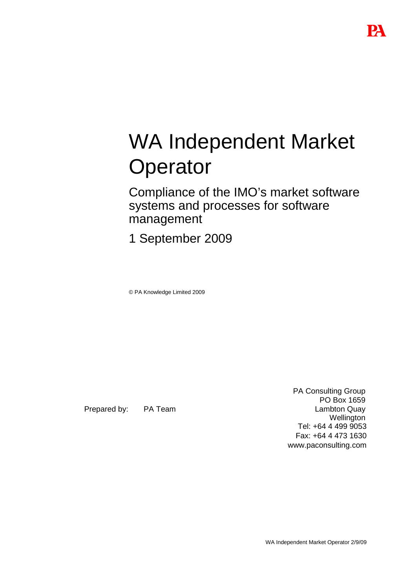# WA Independent Market **Operator**

Compliance of the IMO's market software systems and processes for software management

1 September 2009

© PA Knowledge Limited 2009

Prepared by: PA Team

PA Consulting Group PO Box 1659 Lambton Quay **Wellington** Tel: +64 4 499 9053 Fax: +64 4 473 1630 www.paconsulting.com

WA Independent Market Operator 2/9/09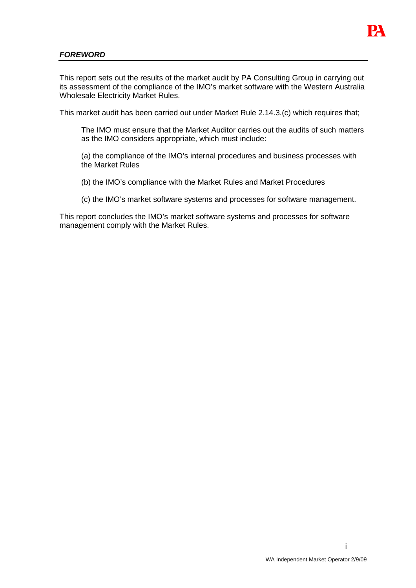

#### **FOREWORD**

This report sets out the results of the market audit by PA Consulting Group in carrying out its assessment of the compliance of the IMO's market software with the Western Australia Wholesale Electricity Market Rules.

This market audit has been carried out under Market Rule 2.14.3.(c) which requires that;

The IMO must ensure that the Market Auditor carries out the audits of such matters as the IMO considers appropriate, which must include:

(a) the compliance of the IMO's internal procedures and business processes with the Market Rules

(b) the IMO's compliance with the Market Rules and Market Procedures

(c) the IMO's market software systems and processes for software management.

This report concludes the IMO's market software systems and processes for software management comply with the Market Rules.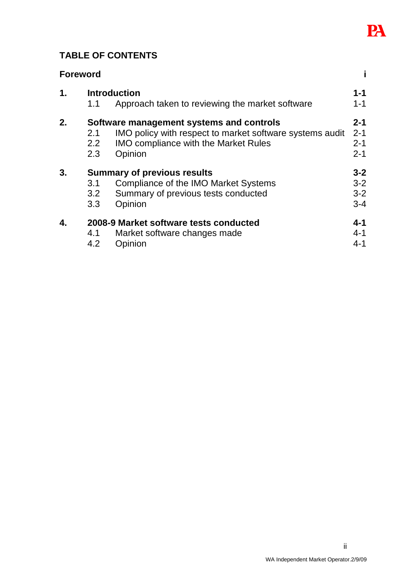

# **TABLE OF CONTENTS**

| <b>Foreword</b> |  |
|-----------------|--|
|                 |  |

| $\mathbf 1$ . |               | <b>Introduction</b>                                      | $1 - 1$ |
|---------------|---------------|----------------------------------------------------------|---------|
|               | 1.1           | Approach taken to reviewing the market software          | $1 - 1$ |
| 2.            |               | Software management systems and controls                 | $2 - 1$ |
|               | 2.1           | IMO policy with respect to market software systems audit | $2 - 1$ |
|               | $2.2^{\circ}$ | <b>IMO compliance with the Market Rules</b>              | $2 - 1$ |
|               | 2.3           | Opinion                                                  | $2 - 1$ |
| 3.            |               | <b>Summary of previous results</b>                       | $3 - 2$ |
|               | 3.1           | Compliance of the IMO Market Systems                     | $3 - 2$ |
|               | 3.2           | Summary of previous tests conducted                      | $3 - 2$ |
|               | 3.3           | Opinion                                                  | $3 - 4$ |
| 4.            |               | 2008-9 Market software tests conducted                   | $4 - 1$ |
|               | 4.1           | Market software changes made                             | $4 - 1$ |
|               | 4.2           | Opinion                                                  | $4 - 1$ |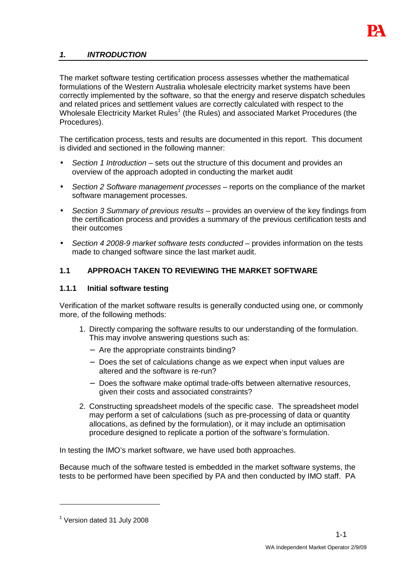

#### **1. INTRODUCTION**

The market software testing certification process assesses whether the mathematical formulations of the Western Australia wholesale electricity market systems have been correctly implemented by the software, so that the energy and reserve dispatch schedules and related prices and settlement values are correctly calculated with respect to the Wholesale Electricity Market Rules<sup>1</sup> (the Rules) and associated Market Procedures (the Procedures).

The certification process, tests and results are documented in this report. This document is divided and sectioned in the following manner:

- Section 1 Introduction sets out the structure of this document and provides an overview of the approach adopted in conducting the market audit
- Section 2 Software management processes reports on the compliance of the market software management processes.
- Section 3 Summary of previous results provides an overview of the key findings from the certification process and provides a summary of the previous certification tests and their outcomes
- Section 4 2008-9 market software tests conducted provides information on the tests made to changed software since the last market audit.

#### **1.1 APPROACH TAKEN TO REVIEWING THE MARKET SOFTWARE**

#### **1.1.1 Initial software testing**

Verification of the market software results is generally conducted using one, or commonly more, of the following methods:

- 1. Directly comparing the software results to our understanding of the formulation. This may involve answering questions such as:
	- − Are the appropriate constraints binding?
	- − Does the set of calculations change as we expect when input values are altered and the software is re-run?
	- − Does the software make optimal trade-offs between alternative resources, given their costs and associated constraints?
- 2. Constructing spreadsheet models of the specific case. The spreadsheet model may perform a set of calculations (such as pre-processing of data or quantity allocations, as defined by the formulation), or it may include an optimisation procedure designed to replicate a portion of the software's formulation.

In testing the IMO's market software, we have used both approaches.

Because much of the software tested is embedded in the market software systems, the tests to be performed have been specified by PA and then conducted by IMO staff. PA

 $\overline{a}$ 

<sup>&</sup>lt;sup>1</sup> Version dated 31 July 2008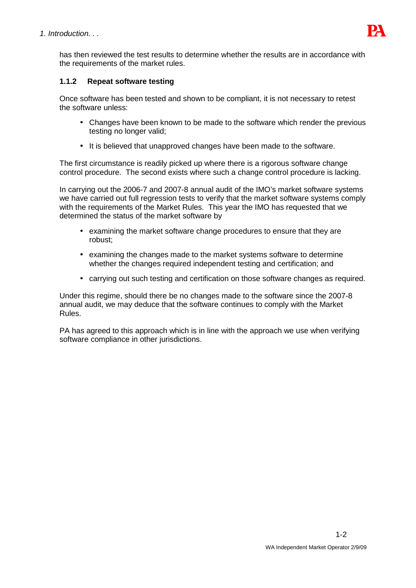

has then reviewed the test results to determine whether the results are in accordance with the requirements of the market rules.

#### **1.1.2 Repeat software testing**

Once software has been tested and shown to be compliant, it is not necessary to retest the software unless:

- Changes have been known to be made to the software which render the previous testing no longer valid;
- It is believed that unapproved changes have been made to the software.

The first circumstance is readily picked up where there is a rigorous software change control procedure. The second exists where such a change control procedure is lacking.

In carrying out the 2006-7 and 2007-8 annual audit of the IMO's market software systems we have carried out full regression tests to verify that the market software systems comply with the requirements of the Market Rules. This year the IMO has requested that we determined the status of the market software by

- examining the market software change procedures to ensure that they are robust;
- examining the changes made to the market systems software to determine whether the changes required independent testing and certification; and
- carrying out such testing and certification on those software changes as required.

Under this regime, should there be no changes made to the software since the 2007-8 annual audit, we may deduce that the software continues to comply with the Market Rules.

PA has agreed to this approach which is in line with the approach we use when verifying software compliance in other jurisdictions.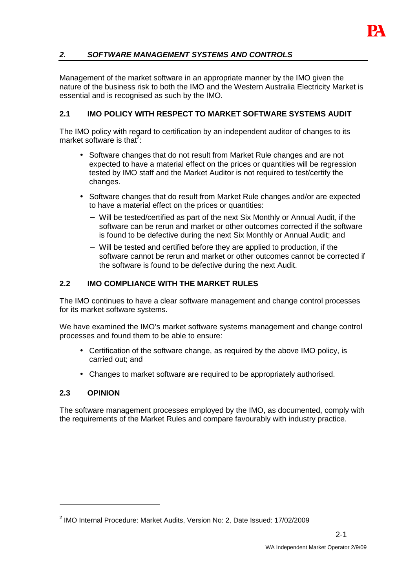# **2. SOFTWARE MANAGEMENT SYSTEMS AND CONTROLS**

Management of the market software in an appropriate manner by the IMO given the nature of the business risk to both the IMO and the Western Australia Electricity Market is essential and is recognised as such by the IMO.

## **2.1 IMO POLICY WITH RESPECT TO MARKET SOFTWARE SYSTEMS AUDIT**

The IMO policy with regard to certification by an independent auditor of changes to its market software is that<sup>2</sup>:

- Software changes that do not result from Market Rule changes and are not expected to have a material effect on the prices or quantities will be regression tested by IMO staff and the Market Auditor is not required to test/certify the changes.
- Software changes that do result from Market Rule changes and/or are expected to have a material effect on the prices or quantities:
	- − Will be tested/certified as part of the next Six Monthly or Annual Audit, if the software can be rerun and market or other outcomes corrected if the software is found to be defective during the next Six Monthly or Annual Audit; and
	- − Will be tested and certified before they are applied to production, if the software cannot be rerun and market or other outcomes cannot be corrected if the software is found to be defective during the next Audit.

#### **2.2 IMO COMPLIANCE WITH THE MARKET RULES**

The IMO continues to have a clear software management and change control processes for its market software systems.

We have examined the IMO's market software systems management and change control processes and found them to be able to ensure:

- Certification of the software change, as required by the above IMO policy, is carried out; and
- Changes to market software are required to be appropriately authorised.

### **2.3 OPINION**

 $\overline{a}$ 

The software management processes employed by the IMO, as documented, comply with the requirements of the Market Rules and compare favourably with industry practice.

 $2$  IMO Internal Procedure: Market Audits, Version No: 2, Date Issued: 17/02/2009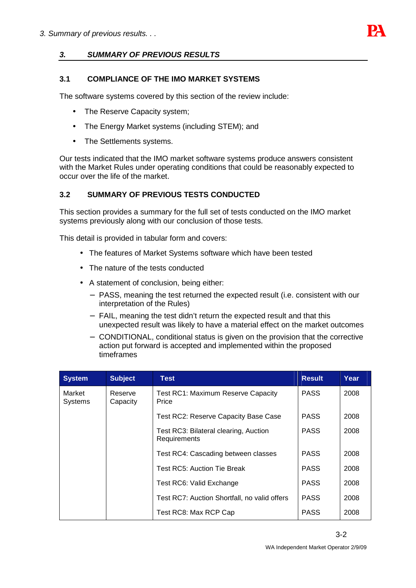

#### **3. SUMMARY OF PREVIOUS RESULTS**

#### **3.1 COMPLIANCE OF THE IMO MARKET SYSTEMS**

The software systems covered by this section of the review include:

- The Reserve Capacity system;
- The Energy Market systems (including STEM); and
- The Settlements systems.

Our tests indicated that the IMO market software systems produce answers consistent with the Market Rules under operating conditions that could be reasonably expected to occur over the life of the market.

#### **3.2 SUMMARY OF PREVIOUS TESTS CONDUCTED**

This section provides a summary for the full set of tests conducted on the IMO market systems previously along with our conclusion of those tests.

This detail is provided in tabular form and covers:

- The features of Market Systems software which have been tested
- The nature of the tests conducted
- A statement of conclusion, being either:
	- − PASS, meaning the test returned the expected result (i.e. consistent with our interpretation of the Rules)
	- − FAIL, meaning the test didn't return the expected result and that this unexpected result was likely to have a material effect on the market outcomes
	- − CONDITIONAL, conditional status is given on the provision that the corrective action put forward is accepted and implemented within the proposed timeframes

| <b>System</b>            | <b>Subject</b>      | <b>Test</b>                                           | <b>Result</b> | Year |
|--------------------------|---------------------|-------------------------------------------------------|---------------|------|
| Market<br><b>Systems</b> | Reserve<br>Capacity | <b>Test RC1: Maximum Reserve Capacity</b><br>Price    | <b>PASS</b>   | 2008 |
|                          |                     | Test RC2: Reserve Capacity Base Case                  | <b>PASS</b>   | 2008 |
|                          |                     | Test RC3: Bilateral clearing, Auction<br>Requirements | <b>PASS</b>   | 2008 |
|                          |                     | Test RC4: Cascading between classes                   | <b>PASS</b>   | 2008 |
|                          |                     | Test RC5: Auction Tie Break                           | <b>PASS</b>   | 2008 |
|                          |                     | Test RC6: Valid Exchange                              | <b>PASS</b>   | 2008 |
|                          |                     | Test RC7: Auction Shortfall, no valid offers          | <b>PASS</b>   | 2008 |
|                          |                     | Test RC8: Max RCP Cap                                 | <b>PASS</b>   | 2008 |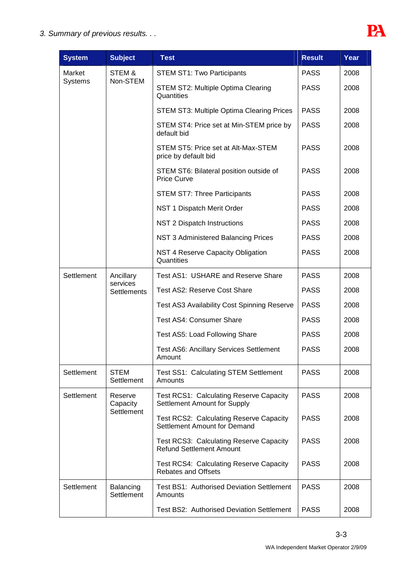

| <b>System</b>  | <b>Subject</b>            | <b>Test</b>                                                                       | <b>Result</b> | Year |
|----------------|---------------------------|-----------------------------------------------------------------------------------|---------------|------|
| Market         | STEM&                     | <b>STEM ST1: Two Participants</b>                                                 | <b>PASS</b>   | 2008 |
| <b>Systems</b> | Non-STEM                  | STEM ST2: Multiple Optima Clearing<br>Quantities                                  | <b>PASS</b>   | 2008 |
|                |                           | <b>STEM ST3: Multiple Optima Clearing Prices</b>                                  | <b>PASS</b>   | 2008 |
|                |                           | STEM ST4: Price set at Min-STEM price by<br>default bid                           | <b>PASS</b>   | 2008 |
|                |                           | STEM ST5: Price set at Alt-Max-STEM<br>price by default bid                       | <b>PASS</b>   | 2008 |
|                |                           | STEM ST6: Bilateral position outside of<br><b>Price Curve</b>                     | <b>PASS</b>   | 2008 |
|                |                           | <b>STEM ST7: Three Participants</b>                                               | <b>PASS</b>   | 2008 |
|                |                           | NST 1 Dispatch Merit Order                                                        | <b>PASS</b>   | 2008 |
|                |                           | NST 2 Dispatch Instructions                                                       | <b>PASS</b>   | 2008 |
|                |                           | <b>NST 3 Administered Balancing Prices</b>                                        | <b>PASS</b>   | 2008 |
|                |                           | NST 4 Reserve Capacity Obligation<br>Quantities                                   | <b>PASS</b>   | 2008 |
| Settlement     | Ancillary                 | Test AS1: USHARE and Reserve Share                                                | <b>PASS</b>   | 2008 |
|                | services<br>Settlements   | Test AS2: Reserve Cost Share                                                      | <b>PASS</b>   | 2008 |
|                |                           | <b>Test AS3 Availability Cost Spinning Reserve</b>                                | <b>PASS</b>   | 2008 |
|                |                           | <b>Test AS4: Consumer Share</b>                                                   | <b>PASS</b>   | 2008 |
|                |                           | Test AS5: Load Following Share                                                    | <b>PASS</b>   | 2008 |
|                |                           | <b>Test AS6: Ancillary Services Settlement</b><br>Amount                          | <b>PASS</b>   | 2008 |
| Settlement     | <b>STEM</b><br>Settlement | Test SS1: Calculating STEM Settlement<br>Amounts                                  | <b>PASS</b>   | 2008 |
| Settlement     | Reserve<br>Capacity       | <b>Test RCS1: Calculating Reserve Capacity</b><br>Settlement Amount for Supply    | <b>PASS</b>   | 2008 |
|                | Settlement                | <b>Test RCS2: Calculating Reserve Capacity</b><br>Settlement Amount for Demand    | <b>PASS</b>   | 2008 |
|                |                           | <b>Test RCS3: Calculating Reserve Capacity</b><br><b>Refund Settlement Amount</b> | <b>PASS</b>   | 2008 |
|                |                           | <b>Test RCS4: Calculating Reserve Capacity</b><br><b>Rebates and Offsets</b>      | <b>PASS</b>   | 2008 |
| Settlement     | Balancing<br>Settlement   | <b>Test BS1: Authorised Deviation Settlement</b><br>Amounts                       | <b>PASS</b>   | 2008 |
|                |                           | Test BS2: Authorised Deviation Settlement                                         | <b>PASS</b>   | 2008 |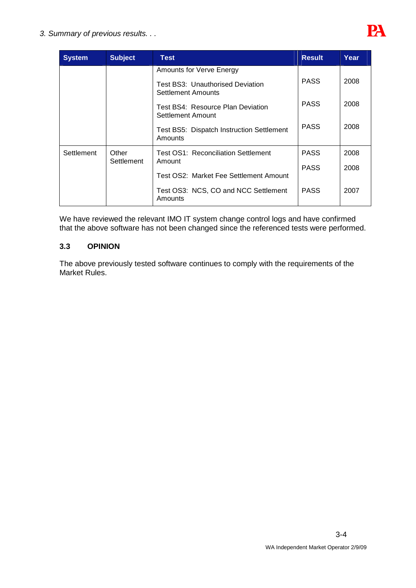

| <b>System</b> | <b>Subject</b> | Test                                                        | <b>Result</b> | Year |
|---------------|----------------|-------------------------------------------------------------|---------------|------|
|               |                | <b>Amounts for Verve Energy</b>                             |               |      |
|               |                | Test BS3: Unauthorised Deviation<br>Settlement Amounts      | <b>PASS</b>   | 2008 |
|               |                | Test BS4: Resource Plan Deviation<br>Settlement Amount      | <b>PASS</b>   | 2008 |
|               |                | <b>Test BS5: Dispatch Instruction Settlement</b><br>Amounts | <b>PASS</b>   | 2008 |
| Settlement    | Other          | Test OS1: Reconciliation Settlement                         | <b>PASS</b>   | 2008 |
|               | Settlement     | Amount                                                      | <b>PASS</b>   | 2008 |
|               |                | Test OS2: Market Fee Settlement Amount                      |               |      |
|               |                | Test OS3: NCS, CO and NCC Settlement<br>Amounts             | <b>PASS</b>   | 2007 |

We have reviewed the relevant IMO IT system change control logs and have confirmed that the above software has not been changed since the referenced tests were performed.

### **3.3 OPINION**

The above previously tested software continues to comply with the requirements of the Market Rules.